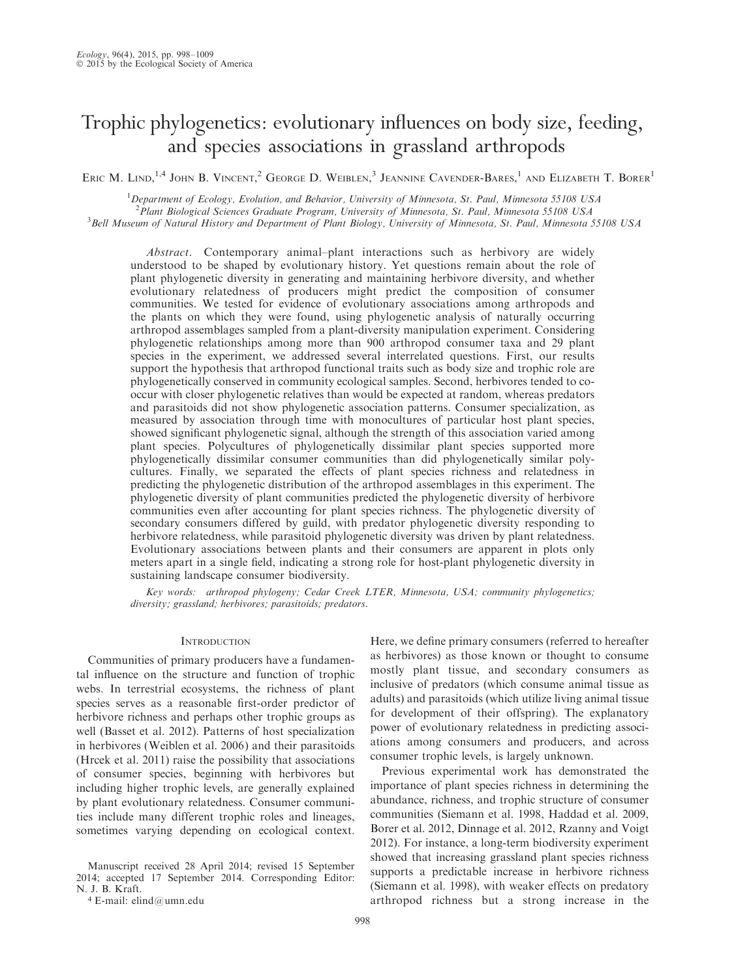# Trophic phylogenetics: evolutionary influences on body size, feeding, and species associations in grassland arthropods

ERIC M. LIND,<sup>1,4</sup> JOHN B. VINCENT,<sup>2</sup> GEORGE D. WEIBLEN,<sup>3</sup> JEANNINE CAVENDER-BARES,<sup>1</sup> AND ELIZABETH T. BORER<sup>1</sup>

<sup>1</sup>Department of Ecology, Evolution, and Behavior, University of Minnesota, St. Paul, Minnesota 55108 USA <sup>2</sup> Plant Biological Sciences Graduate Program, University of Minnesota, St. Paul, Minnesota 55108 USA<br><sup>3</sup> Bell Museum of Natural History and Department of Plant Biology, University of Minnesota, St. Paul, Minnesota <sup>3</sup>Bell Museum of Natural History and Department of Plant Biology, University of Minnesota, St. Paul, Minnesota 55108 USA

Abstract. Contemporary animal–plant interactions such as herbivory are widely understood to be shaped by evolutionary history. Yet questions remain about the role of plant phylogenetic diversity in generating and maintaining herbivore diversity, and whether evolutionary relatedness of producers might predict the composition of consumer communities. We tested for evidence of evolutionary associations among arthropods and the plants on which they were found, using phylogenetic analysis of naturally occurring arthropod assemblages sampled from a plant-diversity manipulation experiment. Considering phylogenetic relationships among more than 900 arthropod consumer taxa and 29 plant species in the experiment, we addressed several interrelated questions. First, our results support the hypothesis that arthropod functional traits such as body size and trophic role are phylogenetically conserved in community ecological samples. Second, herbivores tended to cooccur with closer phylogenetic relatives than would be expected at random, whereas predators and parasitoids did not show phylogenetic association patterns. Consumer specialization, as measured by association through time with monocultures of particular host plant species, showed significant phylogenetic signal, although the strength of this association varied among plant species. Polycultures of phylogenetically dissimilar plant species supported more phylogenetically dissimilar consumer communities than did phylogenetically similar polycultures. Finally, we separated the effects of plant species richness and relatedness in predicting the phylogenetic distribution of the arthropod assemblages in this experiment. The phylogenetic diversity of plant communities predicted the phylogenetic diversity of herbivore communities even after accounting for plant species richness. The phylogenetic diversity of secondary consumers differed by guild, with predator phylogenetic diversity responding to herbivore relatedness, while parasitoid phylogenetic diversity was driven by plant relatedness. Evolutionary associations between plants and their consumers are apparent in plots only meters apart in a single field, indicating a strong role for host-plant phylogenetic diversity in sustaining landscape consumer biodiversity.

Key words: arthropod phylogeny; Cedar Creek LTER, Minnesota, USA; community phylogenetics; diversity; grassland; herbivores; parasitoids; predators.

## **INTRODUCTION**

Communities of primary producers have a fundamental influence on the structure and function of trophic webs. In terrestrial ecosystems, the richness of plant species serves as a reasonable first-order predictor of herbivore richness and perhaps other trophic groups as well (Basset et al. 2012). Patterns of host specialization in herbivores (Weiblen et al. 2006) and their parasitoids (Hrcek et al. 2011) raise the possibility that associations of consumer species, beginning with herbivores but including higher trophic levels, are generally explained by plant evolutionary relatedness. Consumer communities include many different trophic roles and lineages, sometimes varying depending on ecological context.

Manuscript received 28 April 2014; revised 15 September 2014; accepted 17 September 2014. Corresponding Editor: N. J. B. Kraft.

<sup>4</sup> E-mail: elind@umn.edu

Here, we define primary consumers (referred to hereafter as herbivores) as those known or thought to consume mostly plant tissue, and secondary consumers as inclusive of predators (which consume animal tissue as adults) and parasitoids (which utilize living animal tissue for development of their offspring). The explanatory power of evolutionary relatedness in predicting associations among consumers and producers, and across consumer trophic levels, is largely unknown.

Previous experimental work has demonstrated the importance of plant species richness in determining the abundance, richness, and trophic structure of consumer communities (Siemann et al. 1998, Haddad et al. 2009, Borer et al. 2012, Dinnage et al. 2012, Rzanny and Voigt 2012). For instance, a long-term biodiversity experiment showed that increasing grassland plant species richness supports a predictable increase in herbivore richness (Siemann et al. 1998), with weaker effects on predatory arthropod richness but a strong increase in the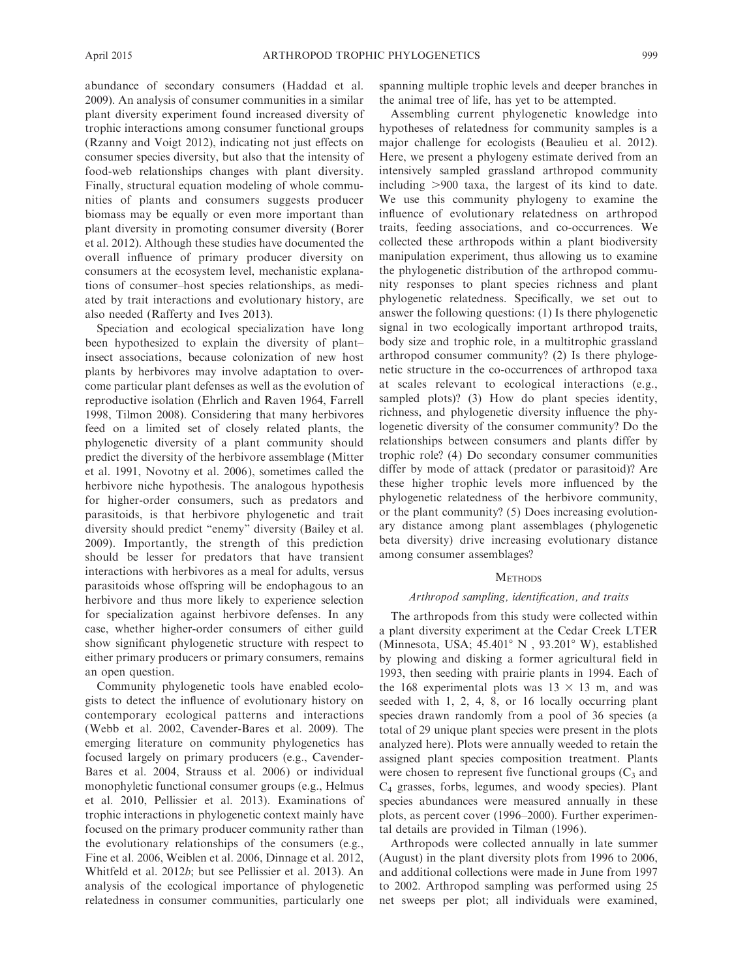2009). An analysis of consumer communities in a similar plant diversity experiment found increased diversity of trophic interactions among consumer functional groups (Rzanny and Voigt 2012), indicating not just effects on consumer species diversity, but also that the intensity of food-web relationships changes with plant diversity. Finally, structural equation modeling of whole communities of plants and consumers suggests producer biomass may be equally or even more important than plant diversity in promoting consumer diversity (Borer et al. 2012). Although these studies have documented the overall influence of primary producer diversity on consumers at the ecosystem level, mechanistic explanations of consumer–host species relationships, as mediated by trait interactions and evolutionary history, are also needed (Rafferty and Ives 2013).

Speciation and ecological specialization have long been hypothesized to explain the diversity of plant– insect associations, because colonization of new host plants by herbivores may involve adaptation to overcome particular plant defenses as well as the evolution of reproductive isolation (Ehrlich and Raven 1964, Farrell 1998, Tilmon 2008). Considering that many herbivores feed on a limited set of closely related plants, the phylogenetic diversity of a plant community should predict the diversity of the herbivore assemblage (Mitter et al. 1991, Novotny et al. 2006), sometimes called the herbivore niche hypothesis. The analogous hypothesis for higher-order consumers, such as predators and parasitoids, is that herbivore phylogenetic and trait diversity should predict ''enemy'' diversity (Bailey et al. 2009). Importantly, the strength of this prediction should be lesser for predators that have transient interactions with herbivores as a meal for adults, versus parasitoids whose offspring will be endophagous to an herbivore and thus more likely to experience selection for specialization against herbivore defenses. In any case, whether higher-order consumers of either guild show significant phylogenetic structure with respect to either primary producers or primary consumers, remains an open question.

Community phylogenetic tools have enabled ecologists to detect the influence of evolutionary history on contemporary ecological patterns and interactions (Webb et al. 2002, Cavender-Bares et al. 2009). The emerging literature on community phylogenetics has focused largely on primary producers (e.g., Cavender-Bares et al. 2004, Strauss et al. 2006) or individual monophyletic functional consumer groups (e.g., Helmus et al. 2010, Pellissier et al. 2013). Examinations of trophic interactions in phylogenetic context mainly have focused on the primary producer community rather than the evolutionary relationships of the consumers (e.g., Fine et al. 2006, Weiblen et al. 2006, Dinnage et al. 2012, Whitfeld et al. 2012b; but see Pellissier et al. 2013). An analysis of the ecological importance of phylogenetic relatedness in consumer communities, particularly one spanning multiple trophic levels and deeper branches in the animal tree of life, has yet to be attempted.

Assembling current phylogenetic knowledge into hypotheses of relatedness for community samples is a major challenge for ecologists (Beaulieu et al. 2012). Here, we present a phylogeny estimate derived from an intensively sampled grassland arthropod community including  $>900$  taxa, the largest of its kind to date. We use this community phylogeny to examine the influence of evolutionary relatedness on arthropod traits, feeding associations, and co-occurrences. We collected these arthropods within a plant biodiversity manipulation experiment, thus allowing us to examine the phylogenetic distribution of the arthropod community responses to plant species richness and plant phylogenetic relatedness. Specifically, we set out to answer the following questions: (1) Is there phylogenetic signal in two ecologically important arthropod traits, body size and trophic role, in a multitrophic grassland arthropod consumer community? (2) Is there phylogenetic structure in the co-occurrences of arthropod taxa at scales relevant to ecological interactions (e.g., sampled plots)? (3) How do plant species identity, richness, and phylogenetic diversity influence the phylogenetic diversity of the consumer community? Do the relationships between consumers and plants differ by trophic role? (4) Do secondary consumer communities differ by mode of attack (predator or parasitoid)? Are these higher trophic levels more influenced by the phylogenetic relatedness of the herbivore community, or the plant community? (5) Does increasing evolutionary distance among plant assemblages (phylogenetic beta diversity) drive increasing evolutionary distance among consumer assemblages?

# **METHODS**

## Arthropod sampling, identification, and traits

The arthropods from this study were collected within a plant diversity experiment at the Cedar Creek LTER (Minnesota, USA; 45.401° N, 93.201° W), established by plowing and disking a former agricultural field in 1993, then seeding with prairie plants in 1994. Each of the 168 experimental plots was  $13 \times 13$  m, and was seeded with 1, 2, 4, 8, or 16 locally occurring plant species drawn randomly from a pool of 36 species (a total of 29 unique plant species were present in the plots analyzed here). Plots were annually weeded to retain the assigned plant species composition treatment. Plants were chosen to represent five functional groups  $(C_3$  and C4 grasses, forbs, legumes, and woody species). Plant species abundances were measured annually in these plots, as percent cover (1996–2000). Further experimental details are provided in Tilman (1996).

Arthropods were collected annually in late summer (August) in the plant diversity plots from 1996 to 2006, and additional collections were made in June from 1997 to 2002. Arthropod sampling was performed using 25 net sweeps per plot; all individuals were examined,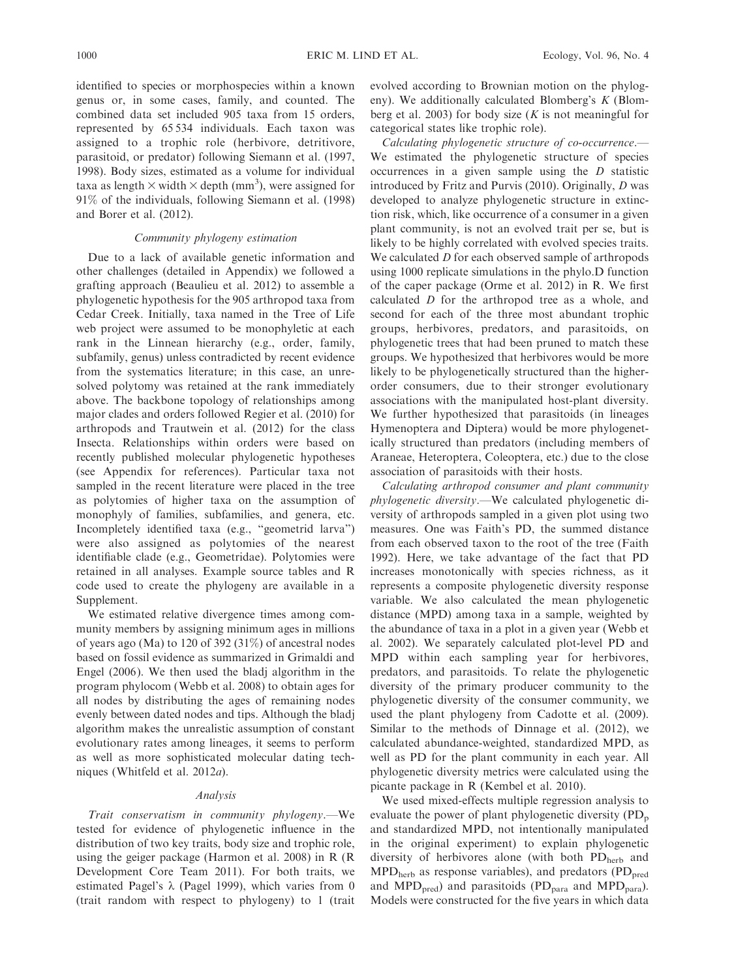identified to species or morphospecies within a known genus or, in some cases, family, and counted. The combined data set included 905 taxa from 15 orders, represented by 65 534 individuals. Each taxon was assigned to a trophic role (herbivore, detritivore, parasitoid, or predator) following Siemann et al. (1997, 1998). Body sizes, estimated as a volume for individual taxa as length  $\times$  width  $\times$  depth (mm<sup>3</sup>), were assigned for 91% of the individuals, following Siemann et al. (1998) and Borer et al. (2012).

## Community phylogeny estimation

Due to a lack of available genetic information and other challenges (detailed in Appendix) we followed a grafting approach (Beaulieu et al. 2012) to assemble a phylogenetic hypothesis for the 905 arthropod taxa from Cedar Creek. Initially, taxa named in the Tree of Life web project were assumed to be monophyletic at each rank in the Linnean hierarchy (e.g., order, family, subfamily, genus) unless contradicted by recent evidence from the systematics literature; in this case, an unresolved polytomy was retained at the rank immediately above. The backbone topology of relationships among major clades and orders followed Regier et al. (2010) for arthropods and Trautwein et al. (2012) for the class Insecta. Relationships within orders were based on recently published molecular phylogenetic hypotheses (see Appendix for references). Particular taxa not sampled in the recent literature were placed in the tree as polytomies of higher taxa on the assumption of monophyly of families, subfamilies, and genera, etc. Incompletely identified taxa (e.g., ''geometrid larva'') were also assigned as polytomies of the nearest identifiable clade (e.g., Geometridae). Polytomies were retained in all analyses. Example source tables and R code used to create the phylogeny are available in a Supplement.

We estimated relative divergence times among community members by assigning minimum ages in millions of years ago (Ma) to 120 of 392 (31%) of ancestral nodes based on fossil evidence as summarized in Grimaldi and Engel (2006). We then used the bladj algorithm in the program phylocom (Webb et al. 2008) to obtain ages for all nodes by distributing the ages of remaining nodes evenly between dated nodes and tips. Although the bladj algorithm makes the unrealistic assumption of constant evolutionary rates among lineages, it seems to perform as well as more sophisticated molecular dating techniques (Whitfeld et al. 2012a).

## Analysis

Trait conservatism in community phylogeny.—We tested for evidence of phylogenetic influence in the distribution of two key traits, body size and trophic role, using the geiger package (Harmon et al. 2008) in R (R Development Core Team 2011). For both traits, we estimated Pagel's  $\lambda$  (Pagel 1999), which varies from 0 (trait random with respect to phylogeny) to 1 (trait evolved according to Brownian motion on the phylogeny). We additionally calculated Blomberg's K (Blomberg et al. 2003) for body size  $(K \text{ is not meaningful for})$ categorical states like trophic role).

Calculating phylogenetic structure of co-occurrence.— We estimated the phylogenetic structure of species occurrences in a given sample using the D statistic introduced by Fritz and Purvis (2010). Originally, D was developed to analyze phylogenetic structure in extinction risk, which, like occurrence of a consumer in a given plant community, is not an evolved trait per se, but is likely to be highly correlated with evolved species traits. We calculated D for each observed sample of arthropods using 1000 replicate simulations in the phylo.D function of the caper package (Orme et al. 2012) in R. We first calculated D for the arthropod tree as a whole, and second for each of the three most abundant trophic groups, herbivores, predators, and parasitoids, on phylogenetic trees that had been pruned to match these groups. We hypothesized that herbivores would be more likely to be phylogenetically structured than the higherorder consumers, due to their stronger evolutionary associations with the manipulated host-plant diversity. We further hypothesized that parasitoids (in lineages Hymenoptera and Diptera) would be more phylogenetically structured than predators (including members of Araneae, Heteroptera, Coleoptera, etc.) due to the close association of parasitoids with their hosts.

Calculating arthropod consumer and plant community phylogenetic diversity.—We calculated phylogenetic diversity of arthropods sampled in a given plot using two measures. One was Faith's PD, the summed distance from each observed taxon to the root of the tree (Faith 1992). Here, we take advantage of the fact that PD increases monotonically with species richness, as it represents a composite phylogenetic diversity response variable. We also calculated the mean phylogenetic distance (MPD) among taxa in a sample, weighted by the abundance of taxa in a plot in a given year (Webb et al. 2002). We separately calculated plot-level PD and MPD within each sampling year for herbivores, predators, and parasitoids. To relate the phylogenetic diversity of the primary producer community to the phylogenetic diversity of the consumer community, we used the plant phylogeny from Cadotte et al. (2009). Similar to the methods of Dinnage et al. (2012), we calculated abundance-weighted, standardized MPD, as well as PD for the plant community in each year. All phylogenetic diversity metrics were calculated using the picante package in R (Kembel et al. 2010).

We used mixed-effects multiple regression analysis to evaluate the power of plant phylogenetic diversity  $(PD_p)$ and standardized MPD, not intentionally manipulated in the original experiment) to explain phylogenetic diversity of herbivores alone (with both  $PD<sub>herb</sub>$  and  $MPD<sub>herb</sub>$  as response variables), and predators ( $PD<sub>pred</sub>$ and MPD<sub>pred</sub>) and parasitoids (PD<sub>para</sub> and MPD<sub>para</sub>). Models were constructed for the five years in which data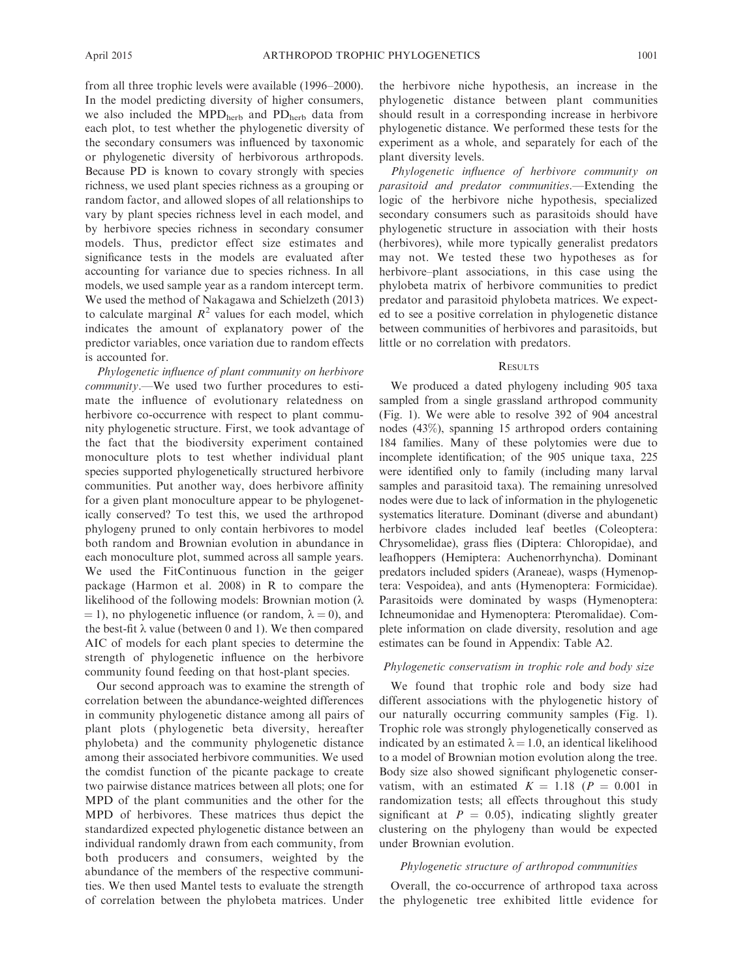from all three trophic levels were available (1996–2000). In the model predicting diversity of higher consumers, we also included the MPD<sub>herb</sub> and PD<sub>herb</sub> data from each plot, to test whether the phylogenetic diversity of the secondary consumers was influenced by taxonomic or phylogenetic diversity of herbivorous arthropods. Because PD is known to covary strongly with species richness, we used plant species richness as a grouping or random factor, and allowed slopes of all relationships to vary by plant species richness level in each model, and by herbivore species richness in secondary consumer models. Thus, predictor effect size estimates and significance tests in the models are evaluated after accounting for variance due to species richness. In all models, we used sample year as a random intercept term. We used the method of Nakagawa and Schielzeth (2013) to calculate marginal  $R^2$  values for each model, which indicates the amount of explanatory power of the predictor variables, once variation due to random effects is accounted for.

Phylogenetic influence of plant community on herbivore community.—We used two further procedures to estimate the influence of evolutionary relatedness on herbivore co-occurrence with respect to plant community phylogenetic structure. First, we took advantage of the fact that the biodiversity experiment contained monoculture plots to test whether individual plant species supported phylogenetically structured herbivore communities. Put another way, does herbivore affinity for a given plant monoculture appear to be phylogenetically conserved? To test this, we used the arthropod phylogeny pruned to only contain herbivores to model both random and Brownian evolution in abundance in each monoculture plot, summed across all sample years. We used the FitContinuous function in the geiger package (Harmon et al. 2008) in R to compare the likelihood of the following models: Brownian motion  $(\lambda)$  $(1, 1)$ , no phylogenetic influence (or random,  $\lambda = 0$ ), and the best-fit  $\lambda$  value (between 0 and 1). We then compared AIC of models for each plant species to determine the strength of phylogenetic influence on the herbivore community found feeding on that host-plant species.

Our second approach was to examine the strength of correlation between the abundance-weighted differences in community phylogenetic distance among all pairs of plant plots (phylogenetic beta diversity, hereafter phylobeta) and the community phylogenetic distance among their associated herbivore communities. We used the comdist function of the picante package to create two pairwise distance matrices between all plots; one for MPD of the plant communities and the other for the MPD of herbivores. These matrices thus depict the standardized expected phylogenetic distance between an individual randomly drawn from each community, from both producers and consumers, weighted by the abundance of the members of the respective communities. We then used Mantel tests to evaluate the strength of correlation between the phylobeta matrices. Under the herbivore niche hypothesis, an increase in the phylogenetic distance between plant communities should result in a corresponding increase in herbivore phylogenetic distance. We performed these tests for the experiment as a whole, and separately for each of the plant diversity levels.

Phylogenetic influence of herbivore community on parasitoid and predator communities.—Extending the logic of the herbivore niche hypothesis, specialized secondary consumers such as parasitoids should have phylogenetic structure in association with their hosts (herbivores), while more typically generalist predators may not. We tested these two hypotheses as for herbivore–plant associations, in this case using the phylobeta matrix of herbivore communities to predict predator and parasitoid phylobeta matrices. We expected to see a positive correlation in phylogenetic distance between communities of herbivores and parasitoids, but little or no correlation with predators.

## **RESULTS**

We produced a dated phylogeny including 905 taxa sampled from a single grassland arthropod community (Fig. 1). We were able to resolve 392 of 904 ancestral nodes (43%), spanning 15 arthropod orders containing 184 families. Many of these polytomies were due to incomplete identification; of the 905 unique taxa, 225 were identified only to family (including many larval samples and parasitoid taxa). The remaining unresolved nodes were due to lack of information in the phylogenetic systematics literature. Dominant (diverse and abundant) herbivore clades included leaf beetles (Coleoptera: Chrysomelidae), grass flies (Diptera: Chloropidae), and leafhoppers (Hemiptera: Auchenorrhyncha). Dominant predators included spiders (Araneae), wasps (Hymenoptera: Vespoidea), and ants (Hymenoptera: Formicidae). Parasitoids were dominated by wasps (Hymenoptera: Ichneumonidae and Hymenoptera: Pteromalidae). Complete information on clade diversity, resolution and age estimates can be found in Appendix: Table A2.

## Phylogenetic conservatism in trophic role and body size

We found that trophic role and body size had different associations with the phylogenetic history of our naturally occurring community samples (Fig. 1). Trophic role was strongly phylogenetically conserved as indicated by an estimated  $\lambda = 1.0$ , an identical likelihood to a model of Brownian motion evolution along the tree. Body size also showed significant phylogenetic conservatism, with an estimated  $K = 1.18$  ( $P = 0.001$  in randomization tests; all effects throughout this study significant at  $P = 0.05$ , indicating slightly greater clustering on the phylogeny than would be expected under Brownian evolution.

#### Phylogenetic structure of arthropod communities

Overall, the co-occurrence of arthropod taxa across the phylogenetic tree exhibited little evidence for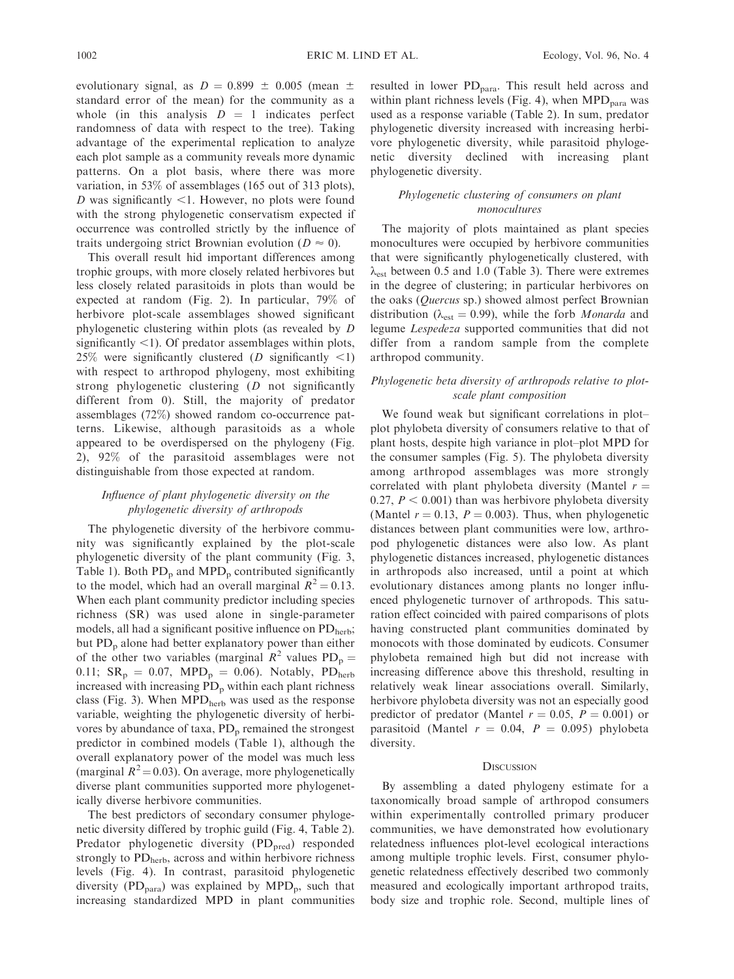evolutionary signal, as  $D = 0.899 \pm 0.005$  (mean  $\pm$ standard error of the mean) for the community as a whole (in this analysis  $D = 1$  indicates perfect randomness of data with respect to the tree). Taking advantage of the experimental replication to analyze each plot sample as a community reveals more dynamic patterns. On a plot basis, where there was more variation, in 53% of assemblages (165 out of 313 plots),  $D$  was significantly  $\leq 1$ . However, no plots were found with the strong phylogenetic conservatism expected if occurrence was controlled strictly by the influence of traits undergoing strict Brownian evolution ( $D \approx 0$ ).

This overall result hid important differences among trophic groups, with more closely related herbivores but less closely related parasitoids in plots than would be expected at random (Fig. 2). In particular, 79% of herbivore plot-scale assemblages showed significant phylogenetic clustering within plots (as revealed by D significantly  $\leq$ 1). Of predator assemblages within plots, 25% were significantly clustered (*D* significantly  $\langle 1 \rangle$ ) with respect to arthropod phylogeny, most exhibiting strong phylogenetic clustering  $(D \text{ not significantly})$ different from 0). Still, the majority of predator assemblages (72%) showed random co-occurrence patterns. Likewise, although parasitoids as a whole appeared to be overdispersed on the phylogeny (Fig. 2), 92% of the parasitoid assemblages were not distinguishable from those expected at random.

## Influence of plant phylogenetic diversity on the phylogenetic diversity of arthropods

The phylogenetic diversity of the herbivore community was significantly explained by the plot-scale phylogenetic diversity of the plant community (Fig. 3, Table 1). Both  $PD_p$  and  $MPD_p$  contributed significantly to the model, which had an overall marginal  $R^2 = 0.13$ . When each plant community predictor including species richness (SR) was used alone in single-parameter models, all had a significant positive influence on  $PD<sub>herb</sub>$ ; but  $PD_p$  alone had better explanatory power than either of the other two variables (marginal  $R^2$  values  $PD_p =$ 0.11;  $SR_p = 0.07$ ,  $MPD_p = 0.06$ ). Notably,  $PD_{\text{herb}}$ increased with increasing  $PD_p$  within each plant richness class (Fig. 3). When  $MPD<sub>herb</sub>$  was used as the response variable, weighting the phylogenetic diversity of herbivores by abundance of taxa,  $PD_p$  remained the strongest predictor in combined models (Table 1), although the overall explanatory power of the model was much less (marginal  $R^2$  = 0.03). On average, more phylogenetically diverse plant communities supported more phylogenetically diverse herbivore communities.

The best predictors of secondary consumer phylogenetic diversity differed by trophic guild (Fig. 4, Table 2). Predator phylogenetic diversity (PD<sub>pred</sub>) responded strongly to  $PD<sub>herb</sub>$ , across and within herbivore richness levels (Fig. 4). In contrast, parasitoid phylogenetic diversity ( $PD<sub>para</sub>$ ) was explained by  $MPD<sub>p</sub>$ , such that increasing standardized MPD in plant communities resulted in lower  $PD_{para}$ . This result held across and within plant richness levels (Fig. 4), when  $\text{MPD}_{\text{para}}$  was used as a response variable (Table 2). In sum, predator phylogenetic diversity increased with increasing herbivore phylogenetic diversity, while parasitoid phylogenetic diversity declined with increasing plant phylogenetic diversity.

## Phylogenetic clustering of consumers on plant monocultures

The majority of plots maintained as plant species monocultures were occupied by herbivore communities that were significantly phylogenetically clustered, with  $\lambda_{est}$  between 0.5 and 1.0 (Table 3). There were extremes in the degree of clustering; in particular herbivores on the oaks (Quercus sp.) showed almost perfect Brownian distribution ( $\lambda_{est} = 0.99$ ), while the forb *Monarda* and legume Lespedeza supported communities that did not differ from a random sample from the complete arthropod community.

# Phylogenetic beta diversity of arthropods relative to plotscale plant composition

We found weak but significant correlations in plot– plot phylobeta diversity of consumers relative to that of plant hosts, despite high variance in plot–plot MPD for the consumer samples (Fig. 5). The phylobeta diversity among arthropod assemblages was more strongly correlated with plant phylobeta diversity (Mantel  $r =$ 0.27,  $P < 0.001$ ) than was herbivore phylobeta diversity (Mantel  $r = 0.13$ ,  $P = 0.003$ ). Thus, when phylogenetic distances between plant communities were low, arthropod phylogenetic distances were also low. As plant phylogenetic distances increased, phylogenetic distances in arthropods also increased, until a point at which evolutionary distances among plants no longer influenced phylogenetic turnover of arthropods. This saturation effect coincided with paired comparisons of plots having constructed plant communities dominated by monocots with those dominated by eudicots. Consumer phylobeta remained high but did not increase with increasing difference above this threshold, resulting in relatively weak linear associations overall. Similarly, herbivore phylobeta diversity was not an especially good predictor of predator (Mantel  $r = 0.05$ ,  $P = 0.001$ ) or parasitoid (Mantel  $r = 0.04$ ,  $P = 0.095$ ) phylobeta diversity.

#### **DISCUSSION**

By assembling a dated phylogeny estimate for a taxonomically broad sample of arthropod consumers within experimentally controlled primary producer communities, we have demonstrated how evolutionary relatedness influences plot-level ecological interactions among multiple trophic levels. First, consumer phylogenetic relatedness effectively described two commonly measured and ecologically important arthropod traits, body size and trophic role. Second, multiple lines of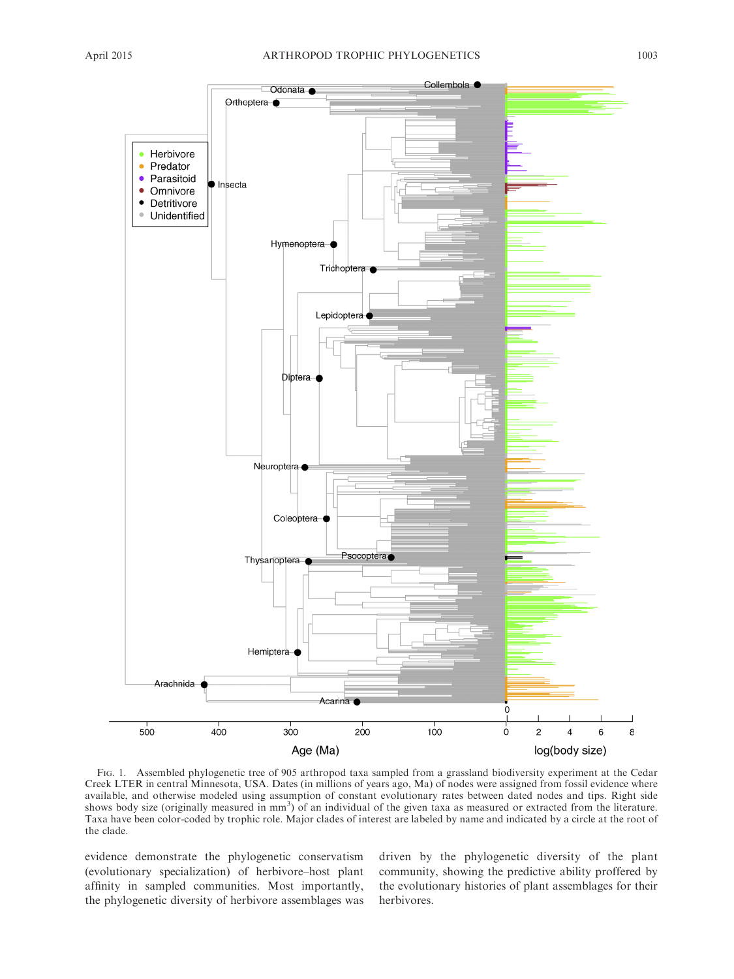

FIG. 1. Assembled phylogenetic tree of 905 arthropod taxa sampled from a grassland biodiversity experiment at the Cedar Creek LTER in central Minnesota, USA. Dates (in millions of years ago, Ma) of nodes were assigned from fossil evidence where available, and otherwise modeled using assumption of constant evolutionary rates between dated nodes and tips. Right side shows body size (originally measured in mm<sup>3</sup>) of an individual of the given taxa as measured or extracted from the literature. Taxa have been color-coded by trophic role. Major clades of interest are labeled by name and indicated by a circle at the root of the clade.

evidence demonstrate the phylogenetic conservatism (evolutionary specialization) of herbivore–host plant affinity in sampled communities. Most importantly, the phylogenetic diversity of herbivore assemblages was driven by the phylogenetic diversity of the plant community, showing the predictive ability proffered by the evolutionary histories of plant assemblages for their herbivores.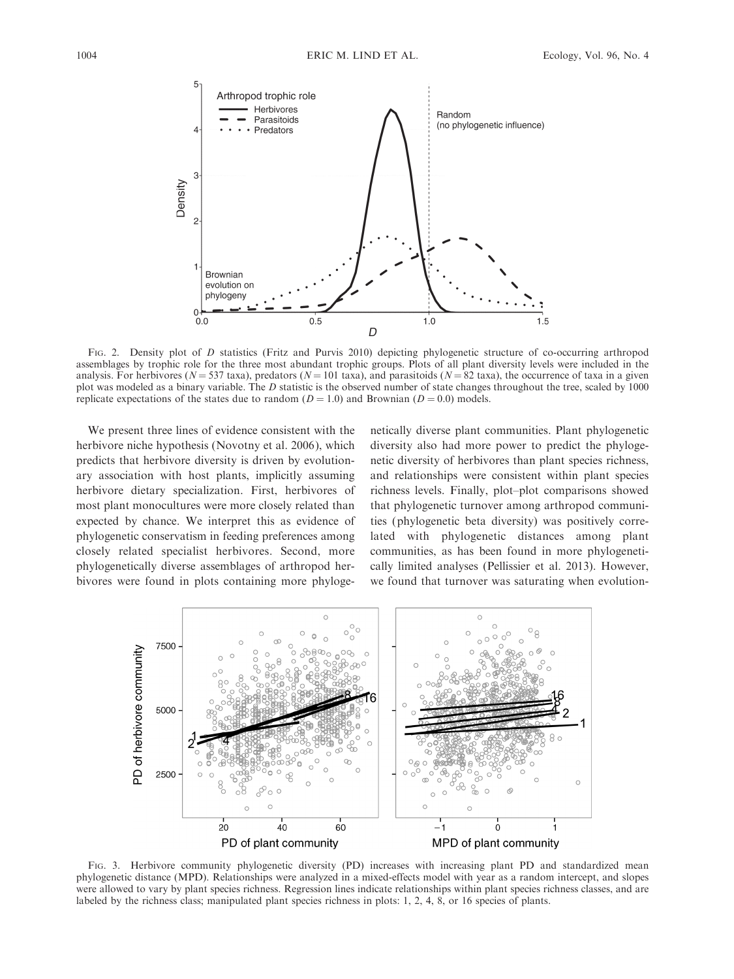

FIG. 2. Density plot of D statistics (Fritz and Purvis 2010) depicting phylogenetic structure of co-occurring arthropod assemblages by trophic role for the three most abundant trophic groups. Plots of all plant diversity levels were included in the analysis. For herbivores ( $N = 537$  taxa), predators ( $N = 101$  taxa), and parasitoids ( $N = 82$  taxa), the occurrence of taxa in a given plot was modeled as a binary variable. The D statistic is the observed number of state changes throughout the tree, scaled by 1000 replicate expectations of the states due to random ( $D = 1.0$ ) and Brownian ( $D = 0.0$ ) models.

We present three lines of evidence consistent with the herbivore niche hypothesis (Novotny et al. 2006), which predicts that herbivore diversity is driven by evolutionary association with host plants, implicitly assuming herbivore dietary specialization. First, herbivores of most plant monocultures were more closely related than expected by chance. We interpret this as evidence of phylogenetic conservatism in feeding preferences among closely related specialist herbivores. Second, more phylogenetically diverse assemblages of arthropod herbivores were found in plots containing more phylogenetically diverse plant communities. Plant phylogenetic diversity also had more power to predict the phylogenetic diversity of herbivores than plant species richness, and relationships were consistent within plant species richness levels. Finally, plot–plot comparisons showed that phylogenetic turnover among arthropod communities (phylogenetic beta diversity) was positively correlated with phylogenetic distances among plant communities, as has been found in more phylogenetically limited analyses (Pellissier et al. 2013). However, we found that turnover was saturating when evolution-



FIG. 3. Herbivore community phylogenetic diversity (PD) increases with increasing plant PD and standardized mean phylogenetic distance (MPD). Relationships were analyzed in a mixed-effects model with year as a random intercept, and slopes were allowed to vary by plant species richness. Regression lines indicate relationships within plant species richness classes, and are labeled by the richness class; manipulated plant species richness in plots: 1, 2, 4, 8, or 16 species of plants.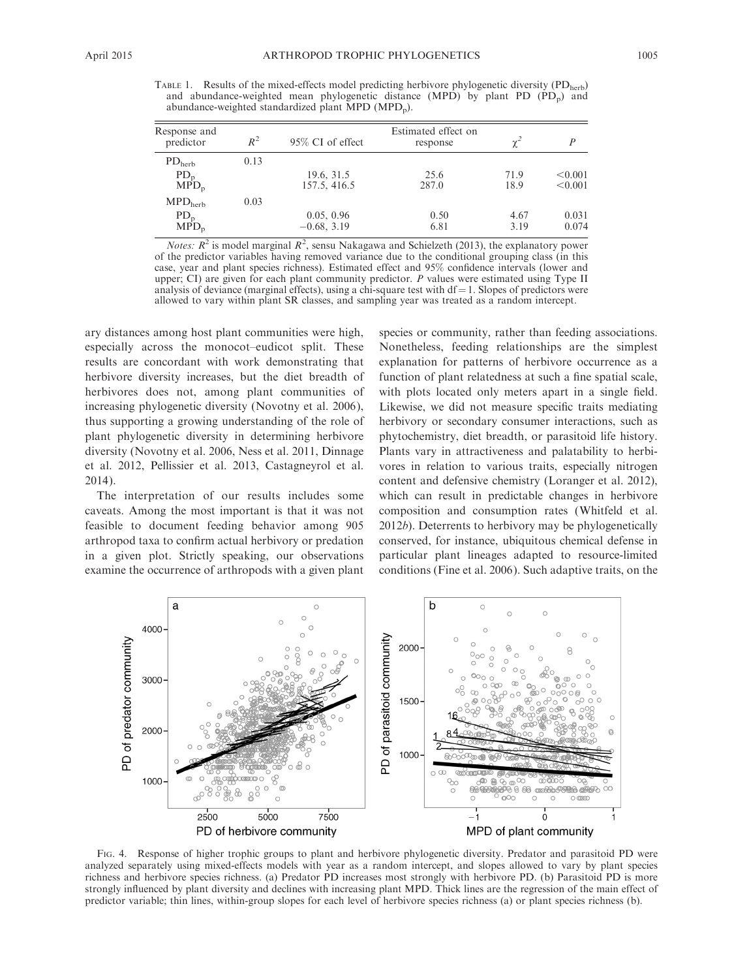TABLE 1. Results of the mixed-effects model predicting herbivore phylogenetic diversity (PD<sub>herb</sub>) and abundance-weighted mean phylogenetic distance (MPD) by plant PD  $(PD_p)$  and abundance-weighted standardized plant  $\text{MPD}$  (MPD<sub>p</sub>).

| Response and<br>predictor | $R^2$ | 95% CI of effect | Estimated effect on<br>response | χŕ   | P       |
|---------------------------|-------|------------------|---------------------------------|------|---------|
| $PD_{\text{herb}}$        | 0.13  |                  |                                 |      |         |
| $PD_{p}$                  |       | 19.6, 31.5       | 25.6                            | 71.9 | < 0.001 |
| $MPD_n$                   |       | 157.5, 416.5     | 287.0                           | 18.9 | < 0.001 |
| MPD <sub>herb</sub>       | 0.03  |                  |                                 |      |         |
| $PD_{p}$                  |       | 0.05, 0.96       | 0.50                            | 4.67 | 0.031   |
| $MPD_n$                   |       | $-0.68, 3.19$    | 6.81                            | 3.19 | 0.074   |
|                           |       |                  |                                 |      |         |

*Notes:*  $R^2$  is model marginal  $R^2$ , sensu Nakagawa and Schielzeth (2013), the explanatory power of the predictor variables having removed variance due to the conditional grouping class (in this case, year and plant species richness). Estimated effect and 95% confidence intervals (lower and upper; CI) are given for each plant community predictor. P values were estimated using Type II analysis of deviance (marginal effects), using a chi-square test with  $df = 1$ . Slopes of predictors were allowed to vary within plant SR classes, and sampling year was treated as a random intercept.

ary distances among host plant communities were high, especially across the monocot–eudicot split. These results are concordant with work demonstrating that herbivore diversity increases, but the diet breadth of herbivores does not, among plant communities of increasing phylogenetic diversity (Novotny et al. 2006), thus supporting a growing understanding of the role of plant phylogenetic diversity in determining herbivore diversity (Novotny et al. 2006, Ness et al. 2011, Dinnage et al. 2012, Pellissier et al. 2013, Castagneyrol et al. 2014).

The interpretation of our results includes some caveats. Among the most important is that it was not feasible to document feeding behavior among 905 arthropod taxa to confirm actual herbivory or predation in a given plot. Strictly speaking, our observations examine the occurrence of arthropods with a given plant species or community, rather than feeding associations. Nonetheless, feeding relationships are the simplest explanation for patterns of herbivore occurrence as a function of plant relatedness at such a fine spatial scale, with plots located only meters apart in a single field. Likewise, we did not measure specific traits mediating herbivory or secondary consumer interactions, such as phytochemistry, diet breadth, or parasitoid life history. Plants vary in attractiveness and palatability to herbivores in relation to various traits, especially nitrogen content and defensive chemistry (Loranger et al. 2012), which can result in predictable changes in herbivore composition and consumption rates (Whitfeld et al. 2012b). Deterrents to herbivory may be phylogenetically conserved, for instance, ubiquitous chemical defense in particular plant lineages adapted to resource-limited conditions (Fine et al. 2006). Such adaptive traits, on the



FIG. 4. Response of higher trophic groups to plant and herbivore phylogenetic diversity. Predator and parasitoid PD were analyzed separately using mixed-effects models with year as a random intercept, and slopes allowed to vary by plant species richness and herbivore species richness. (a) Predator PD increases most strongly with herbivore PD. (b) Parasitoid PD is more strongly influenced by plant diversity and declines with increasing plant MPD. Thick lines are the regression of the main effect of predictor variable; thin lines, within-group slopes for each level of herbivore species richness (a) or plant species richness (b).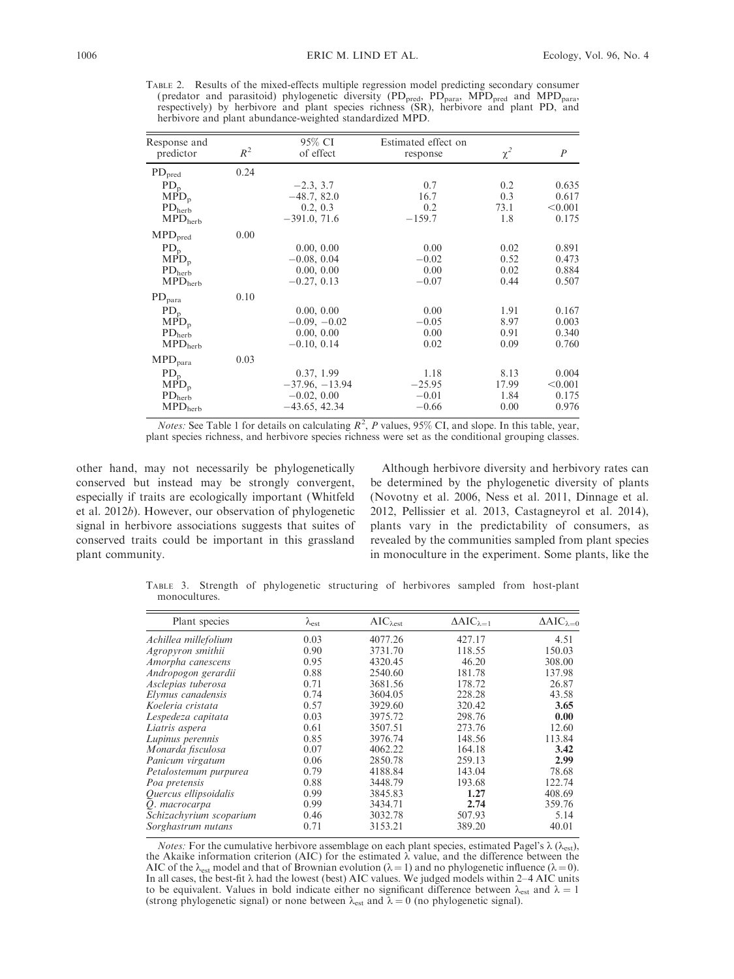TABLE 2. Results of the mixed-effects multiple regression model predicting secondary consumer (predator and parasitoid) phylogenetic diversity (PD<sub>pred</sub>, PD<sub>para</sub>, MPD<sub>pred</sub> and MPD<sub>para</sub>, respectively) by herbivore and plant species richness (SR), herbivore and plant PD, and herbivore and plant abundance-weighted standardized MPD.

| Response and<br>predictor      | $R^2$ | 95% CI<br>of effect | Estimated effect on<br>response | $\chi^2$ | $\boldsymbol{P}$ |  |
|--------------------------------|-------|---------------------|---------------------------------|----------|------------------|--|
| $\rm PD_{pred}$                | 0.24  |                     |                                 |          |                  |  |
| $PD_p$                         |       | $-2.3, 3.7$         | 0.7                             | 0.2      | 0.635            |  |
| $MPD_n$                        |       | $-48.7, 82.0$       | 16.7                            | 0.3      | 0.617            |  |
| $\rm PD_{\rm herb}$            |       | 0.2, 0.3            | 0.2                             | 73.1     | < 0.001          |  |
| $\mathrm{MPD}_{\mathrm{herb}}$ |       | $-391.0, 71.6$      | $-159.7$                        | 1.8      | 0.175            |  |
| MPD <sub>pred</sub>            | 0.00  |                     |                                 |          |                  |  |
| $PD_p$                         |       | 0.00, 0.00          | 0.00                            | 0.02     | 0.891            |  |
| $MPD_p$                        |       | $-0.08, 0.04$       | $-0.02$                         | 0.52     | 0.473            |  |
| PD <sub>herb</sub>             |       | 0.00, 0.00          | 0.00                            | 0.02     | 0.884            |  |
| $\text{MPD}_\text{herb}$       |       | $-0.27, 0.13$       | $-0.07$                         | 0.44     | 0.507            |  |
| $\rm PD_{para}$                | 0.10  |                     |                                 |          |                  |  |
| $PD_p$                         |       | 0.00, 0.00          | 0.00                            | 1.91     | 0.167            |  |
| $MPD_p$                        |       | $-0.09, -0.02$      | $-0.05$                         | 8.97     | 0.003            |  |
| PD <sub>herb</sub>             |       | 0.00, 0.00          | 0.00                            | 0.91     | 0.340            |  |
| $\text{MPD}_{\text{herb}}$     |       | $-0.10, 0.14$       | 0.02                            | 0.09     | 0.760            |  |
| $\mbox{MPD}_{\rm para}$        | 0.03  |                     |                                 |          |                  |  |
| $PD_p$                         |       | 0.37, 1.99          | 1.18                            | 8.13     | 0.004            |  |
| $MPD_p$                        |       | $-37.96, -13.94$    | $-25.95$                        | 17.99    | < 0.001          |  |
| PD <sub>herb</sub>             |       | $-0.02, 0.00$       | $-0.01$                         | 1.84     | 0.175            |  |
| $\text{MPD}_{\text{herb}}$     |       | $-43.65, 42.34$     | $-0.66$                         | 0.00     | 0.976            |  |

*Notes:* See Table 1 for details on calculating  $R^2$ , P values, 95% CI, and slope. In this table, year, plant species richness, and herbivore species richness were set as the conditional grouping classes.

other hand, may not necessarily be phylogenetically conserved but instead may be strongly convergent, especially if traits are ecologically important (Whitfeld et al. 2012b). However, our observation of phylogenetic signal in herbivore associations suggests that suites of conserved traits could be important in this grassland plant community.

Although herbivore diversity and herbivory rates can be determined by the phylogenetic diversity of plants (Novotny et al. 2006, Ness et al. 2011, Dinnage et al. 2012, Pellissier et al. 2013, Castagneyrol et al. 2014), plants vary in the predictability of consumers, as revealed by the communities sampled from plant species in monoculture in the experiment. Some plants, like the

TABLE 3. Strength of phylogenetic structuring of herbivores sampled from host-plant monocultures.

| Plant species           | $\lambda_{\rm est}$ | $AIC_{\lambda est}$ | $\Delta AIC_{\lambda=1}$ | $\Delta AIC_{\lambda=0}$ |
|-------------------------|---------------------|---------------------|--------------------------|--------------------------|
| Achillea millefolium    | 0.03                | 4077.26             | 427.17                   | 4.51                     |
| Agropyron smithii       | 0.90                | 3731.70             | 118.55                   | 150.03                   |
| Amorpha canescens       | 0.95                | 4320.45             | 46.20                    | 308.00                   |
| Andropogon gerardii     | 0.88                | 2540.60             | 181.78                   | 137.98                   |
| Asclepias tuberosa      | 0.71                | 3681.56             | 178.72                   | 26.87                    |
| Elymus canadensis       | 0.74                | 3604.05             | 228.28                   | 43.58                    |
| Koeleria cristata       | 0.57                | 3929.60             | 320.42                   | 3.65                     |
| Lespedeza capitata      | 0.03                | 3975.72             | 298.76                   | 0.00                     |
| Liatris aspera          | 0.61                | 3507.51             | 273.76                   | 12.60                    |
| Lupinus perennis        | 0.85                | 3976.74             | 148.56                   | 113.84                   |
| Monarda fisculosa       | 0.07                | 4062.22             | 164.18                   | 3.42                     |
| Panicum virgatum        | 0.06                | 2850.78             | 259.13                   | 2.99                     |
| Petalostemum purpurea   | 0.79                | 4188.84             | 143.04                   | 78.68                    |
| Poa pretensis           | 0.88                | 3448.79             | 193.68                   | 122.74                   |
| Quercus ellipsoidalis   | 0.99                | 3845.83             | 1.27                     | 408.69                   |
| O. macrocarpa           | 0.99                | 3434.71             | 2.74                     | 359.76                   |
| Schizachyrium scoparium | 0.46                | 3032.78             | 507.93                   | 5.14                     |
| Sorghastrum nutans      | 0.71                | 3153.21             | 389.20                   | 40.01                    |
|                         |                     |                     |                          |                          |

*Notes:* For the cumulative herbivore assemblage on each plant species, estimated Pagel's  $\lambda$  ( $\lambda_{est}$ ), the Akaike information criterion (AIC) for the estimated  $\lambda$  value, and the difference between the AIC of the  $\lambda_{est}$  model and that of Brownian evolution ( $\lambda = 1$ ) and no phylogenetic influence ( $\lambda = 0$ ). In all cases, the best-fit  $\lambda$  had the lowest (best) AIC values. We judged models within 2–4 AIC units to be equivalent. Values in bold indicate either no significant difference between  $\lambda_{est}$  and  $\lambda = 1$ (strong phylogenetic signal) or none between  $\lambda_{est}$  and  $\lambda = 0$  (no phylogenetic signal).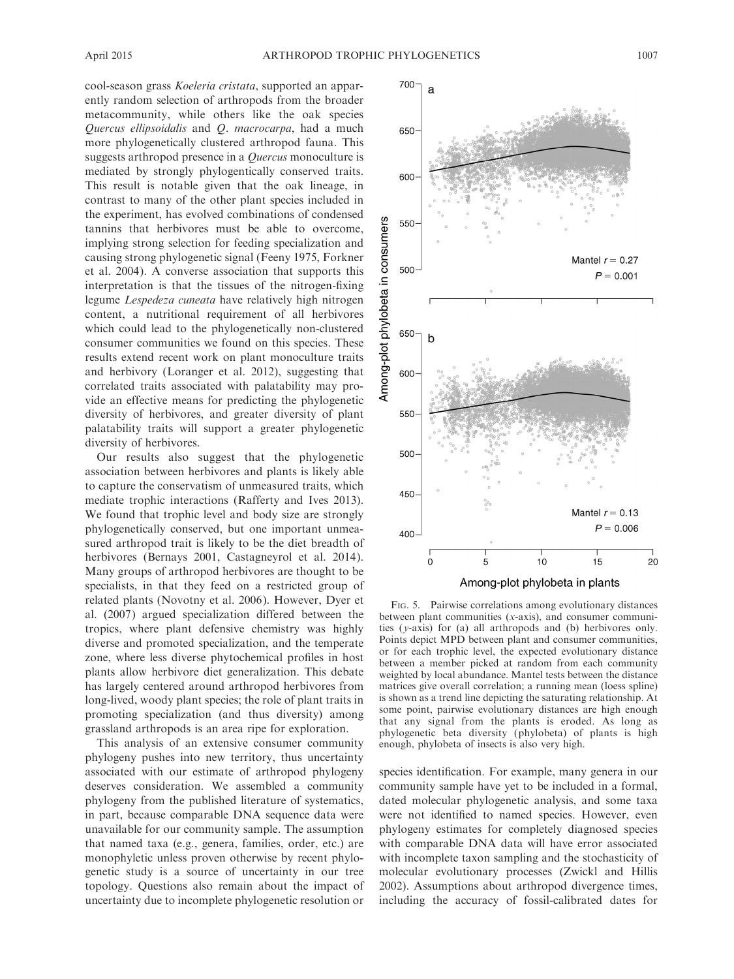cool-season grass Koeleria cristata, supported an apparently random selection of arthropods from the broader metacommunity, while others like the oak species Quercus ellipsoidalis and Q. macrocarpa, had a much more phylogenetically clustered arthropod fauna. This suggests arthropod presence in a Quercus monoculture is mediated by strongly phylogentically conserved traits. This result is notable given that the oak lineage, in contrast to many of the other plant species included in the experiment, has evolved combinations of condensed tannins that herbivores must be able to overcome, implying strong selection for feeding specialization and causing strong phylogenetic signal (Feeny 1975, Forkner et al. 2004). A converse association that supports this interpretation is that the tissues of the nitrogen-fixing legume Lespedeza cuneata have relatively high nitrogen content, a nutritional requirement of all herbivores which could lead to the phylogenetically non-clustered consumer communities we found on this species. These results extend recent work on plant monoculture traits and herbivory (Loranger et al. 2012), suggesting that correlated traits associated with palatability may provide an effective means for predicting the phylogenetic diversity of herbivores, and greater diversity of plant palatability traits will support a greater phylogenetic diversity of herbivores.

Our results also suggest that the phylogenetic association between herbivores and plants is likely able to capture the conservatism of unmeasured traits, which mediate trophic interactions (Rafferty and Ives 2013). We found that trophic level and body size are strongly phylogenetically conserved, but one important unmeasured arthropod trait is likely to be the diet breadth of herbivores (Bernays 2001, Castagneyrol et al. 2014). Many groups of arthropod herbivores are thought to be specialists, in that they feed on a restricted group of related plants (Novotny et al. 2006). However, Dyer et al. (2007) argued specialization differed between the tropics, where plant defensive chemistry was highly diverse and promoted specialization, and the temperate zone, where less diverse phytochemical profiles in host plants allow herbivore diet generalization. This debate has largely centered around arthropod herbivores from long-lived, woody plant species; the role of plant traits in promoting specialization (and thus diversity) among grassland arthropods is an area ripe for exploration.

This analysis of an extensive consumer community phylogeny pushes into new territory, thus uncertainty associated with our estimate of arthropod phylogeny deserves consideration. We assembled a community phylogeny from the published literature of systematics, in part, because comparable DNA sequence data were unavailable for our community sample. The assumption that named taxa (e.g., genera, families, order, etc.) are monophyletic unless proven otherwise by recent phylogenetic study is a source of uncertainty in our tree topology. Questions also remain about the impact of uncertainty due to incomplete phylogenetic resolution or



FIG. 5. Pairwise correlations among evolutionary distances between plant communities (x-axis), and consumer communities (y-axis) for (a) all arthropods and (b) herbivores only. Points depict MPD between plant and consumer communities, or for each trophic level, the expected evolutionary distance between a member picked at random from each community weighted by local abundance. Mantel tests between the distance matrices give overall correlation; a running mean (loess spline) is shown as a trend line depicting the saturating relationship. At some point, pairwise evolutionary distances are high enough that any signal from the plants is eroded. As long as phylogenetic beta diversity (phylobeta) of plants is high enough, phylobeta of insects is also very high.

species identification. For example, many genera in our community sample have yet to be included in a formal, dated molecular phylogenetic analysis, and some taxa were not identified to named species. However, even phylogeny estimates for completely diagnosed species with comparable DNA data will have error associated with incomplete taxon sampling and the stochasticity of molecular evolutionary processes (Zwickl and Hillis 2002). Assumptions about arthropod divergence times, including the accuracy of fossil-calibrated dates for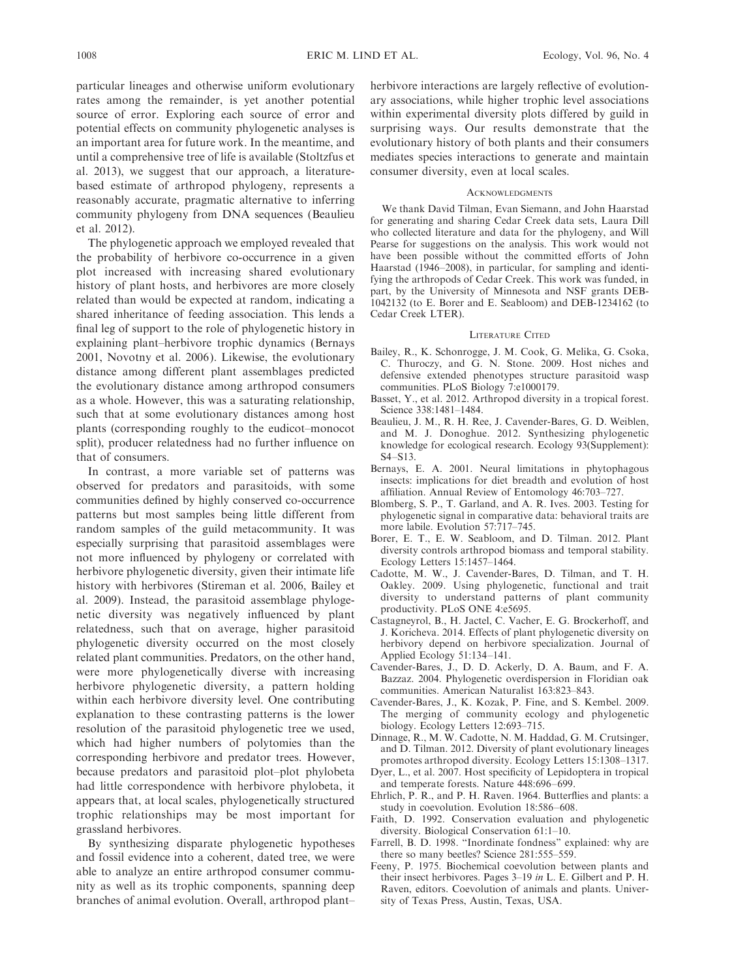particular lineages and otherwise uniform evolutionary rates among the remainder, is yet another potential source of error. Exploring each source of error and potential effects on community phylogenetic analyses is an important area for future work. In the meantime, and until a comprehensive tree of life is available (Stoltzfus et al. 2013), we suggest that our approach, a literaturebased estimate of arthropod phylogeny, represents a reasonably accurate, pragmatic alternative to inferring community phylogeny from DNA sequences (Beaulieu et al. 2012).

The phylogenetic approach we employed revealed that the probability of herbivore co-occurrence in a given plot increased with increasing shared evolutionary history of plant hosts, and herbivores are more closely related than would be expected at random, indicating a shared inheritance of feeding association. This lends a final leg of support to the role of phylogenetic history in explaining plant–herbivore trophic dynamics (Bernays 2001, Novotny et al. 2006). Likewise, the evolutionary distance among different plant assemblages predicted the evolutionary distance among arthropod consumers as a whole. However, this was a saturating relationship, such that at some evolutionary distances among host plants (corresponding roughly to the eudicot–monocot split), producer relatedness had no further influence on that of consumers.

In contrast, a more variable set of patterns was observed for predators and parasitoids, with some communities defined by highly conserved co-occurrence patterns but most samples being little different from random samples of the guild metacommunity. It was especially surprising that parasitoid assemblages were not more influenced by phylogeny or correlated with herbivore phylogenetic diversity, given their intimate life history with herbivores (Stireman et al. 2006, Bailey et al. 2009). Instead, the parasitoid assemblage phylogenetic diversity was negatively influenced by plant relatedness, such that on average, higher parasitoid phylogenetic diversity occurred on the most closely related plant communities. Predators, on the other hand, were more phylogenetically diverse with increasing herbivore phylogenetic diversity, a pattern holding within each herbivore diversity level. One contributing explanation to these contrasting patterns is the lower resolution of the parasitoid phylogenetic tree we used, which had higher numbers of polytomies than the corresponding herbivore and predator trees. However, because predators and parasitoid plot–plot phylobeta had little correspondence with herbivore phylobeta, it appears that, at local scales, phylogenetically structured trophic relationships may be most important for grassland herbivores.

By synthesizing disparate phylogenetic hypotheses and fossil evidence into a coherent, dated tree, we were able to analyze an entire arthropod consumer community as well as its trophic components, spanning deep branches of animal evolution. Overall, arthropod plant– herbivore interactions are largely reflective of evolutionary associations, while higher trophic level associations within experimental diversity plots differed by guild in surprising ways. Our results demonstrate that the evolutionary history of both plants and their consumers mediates species interactions to generate and maintain consumer diversity, even at local scales.

#### **ACKNOWLEDGMENTS**

We thank David Tilman, Evan Siemann, and John Haarstad for generating and sharing Cedar Creek data sets, Laura Dill who collected literature and data for the phylogeny, and Will Pearse for suggestions on the analysis. This work would not have been possible without the committed efforts of John Haarstad (1946–2008), in particular, for sampling and identifying the arthropods of Cedar Creek. This work was funded, in part, by the University of Minnesota and NSF grants DEB-1042132 (to E. Borer and E. Seabloom) and DEB-1234162 (to Cedar Creek LTER).

#### LITERATURE CITED

- Bailey, R., K. Schonrogge, J. M. Cook, G. Melika, G. Csoka, C. Thuroczy, and G. N. Stone. 2009. Host niches and defensive extended phenotypes structure parasitoid wasp communities. PLoS Biology 7:e1000179.
- Basset, Y., et al. 2012. Arthropod diversity in a tropical forest. Science 338:1481–1484.
- Beaulieu, J. M., R. H. Ree, J. Cavender-Bares, G. D. Weiblen, and M. J. Donoghue. 2012. Synthesizing phylogenetic knowledge for ecological research. Ecology 93(Supplement): S4–S13.
- Bernays, E. A. 2001. Neural limitations in phytophagous insects: implications for diet breadth and evolution of host affiliation. Annual Review of Entomology 46:703–727.
- Blomberg, S. P., T. Garland, and A. R. Ives. 2003. Testing for phylogenetic signal in comparative data: behavioral traits are more labile. Evolution 57:717–745.
- Borer, E. T., E. W. Seabloom, and D. Tilman. 2012. Plant diversity controls arthropod biomass and temporal stability. Ecology Letters 15:1457–1464.
- Cadotte, M. W., J. Cavender-Bares, D. Tilman, and T. H. Oakley. 2009. Using phylogenetic, functional and trait diversity to understand patterns of plant community productivity. PLoS ONE 4:e5695.
- Castagneyrol, B., H. Jactel, C. Vacher, E. G. Brockerhoff, and J. Koricheva. 2014. Effects of plant phylogenetic diversity on herbivory depend on herbivore specialization. Journal of Applied Ecology 51:134–141.
- Cavender-Bares, J., D. D. Ackerly, D. A. Baum, and F. A. Bazzaz. 2004. Phylogenetic overdispersion in Floridian oak communities. American Naturalist 163:823–843.
- Cavender-Bares, J., K. Kozak, P. Fine, and S. Kembel. 2009. The merging of community ecology and phylogenetic biology. Ecology Letters 12:693–715.
- Dinnage, R., M. W. Cadotte, N. M. Haddad, G. M. Crutsinger, and D. Tilman. 2012. Diversity of plant evolutionary lineages promotes arthropod diversity. Ecology Letters 15:1308–1317.
- Dyer, L., et al. 2007. Host specificity of Lepidoptera in tropical and temperate forests. Nature 448:696–699.
- Ehrlich, P. R., and P. H. Raven. 1964. Butterflies and plants: a study in coevolution. Evolution 18:586–608.
- Faith, D. 1992. Conservation evaluation and phylogenetic diversity. Biological Conservation 61:1–10.
- Farrell, B. D. 1998. ''Inordinate fondness'' explained: why are there so many beetles? Science 281:555–559.
- Feeny, P. 1975. Biochemical coevolution between plants and their insect herbivores. Pages 3–19 in L. E. Gilbert and P. H. Raven, editors. Coevolution of animals and plants. University of Texas Press, Austin, Texas, USA.